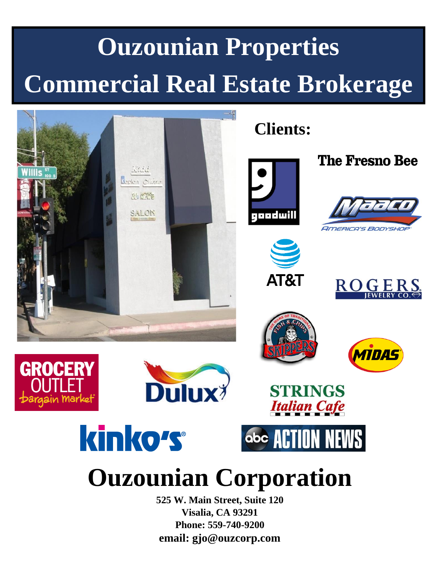## **Ouzounian Properties Commercial Real Estate Brokerage**



**Visalia, CA 93291 Phone: 559-740-9200 email: gjo@ouzcorp.com**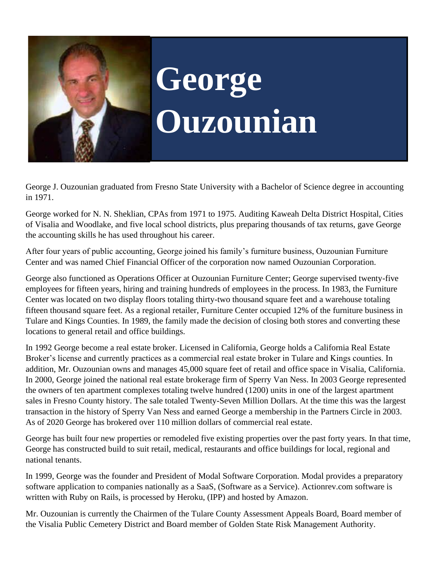

# **George Ouzounian**

George J. Ouzounian graduated from Fresno State University with a Bachelor of Science degree in accounting in 1971.

George worked for N. N. Sheklian, CPAs from 1971 to 1975. Auditing Kaweah Delta District Hospital, Cities of Visalia and Woodlake, and five local school districts, plus preparing thousands of tax returns, gave George the accounting skills he has used throughout his career.

After four years of public accounting, George joined his family's furniture business, Ouzounian Furniture Center and was named Chief Financial Officer of the corporation now named Ouzounian Corporation.

George also functioned as Operations Officer at Ouzounian Furniture Center; George supervised twenty-five employees for fifteen years, hiring and training hundreds of employees in the process. In 1983, the Furniture Center was located on two display floors totaling thirty-two thousand square feet and a warehouse totaling fifteen thousand square feet. As a regional retailer, Furniture Center occupied 12% of the furniture business in Tulare and Kings Counties. In 1989, the family made the decision of closing both stores and converting these locations to general retail and office buildings.

In 1992 George become a real estate broker. Licensed in California, George holds a California Real Estate Broker's license and currently practices as a commercial real estate broker in Tulare and Kings counties. In addition, Mr. Ouzounian owns and manages 45,000 square feet of retail and office space in Visalia, California. In 2000, George joined the national real estate brokerage firm of Sperry Van Ness. In 2003 George represented the owners of ten apartment complexes totaling twelve hundred (1200) units in one of the largest apartment sales in Fresno County history. The sale totaled Twenty-Seven Million Dollars. At the time this was the largest transaction in the history of Sperry Van Ness and earned George a membership in the Partners Circle in 2003. As of 2020 George has brokered over 110 million dollars of commercial real estate.

George has built four new properties or remodeled five existing properties over the past forty years. In that time, George has constructed build to suit retail, medical, restaurants and office buildings for local, regional and national tenants.

In 1999, George was the founder and President of Modal Software Corporation. Modal provides a preparatory software application to companies nationally as a SaaS, (Software as a Service). Actionrev.com software is written with Ruby on Rails, is processed by Heroku, (IPP) and hosted by Amazon.

Mr. Ouzounian is currently the Chairmen of the Tulare County Assessment Appeals Board, Board member of the Visalia Public Cemetery District and Board member of Golden State Risk Management Authority.